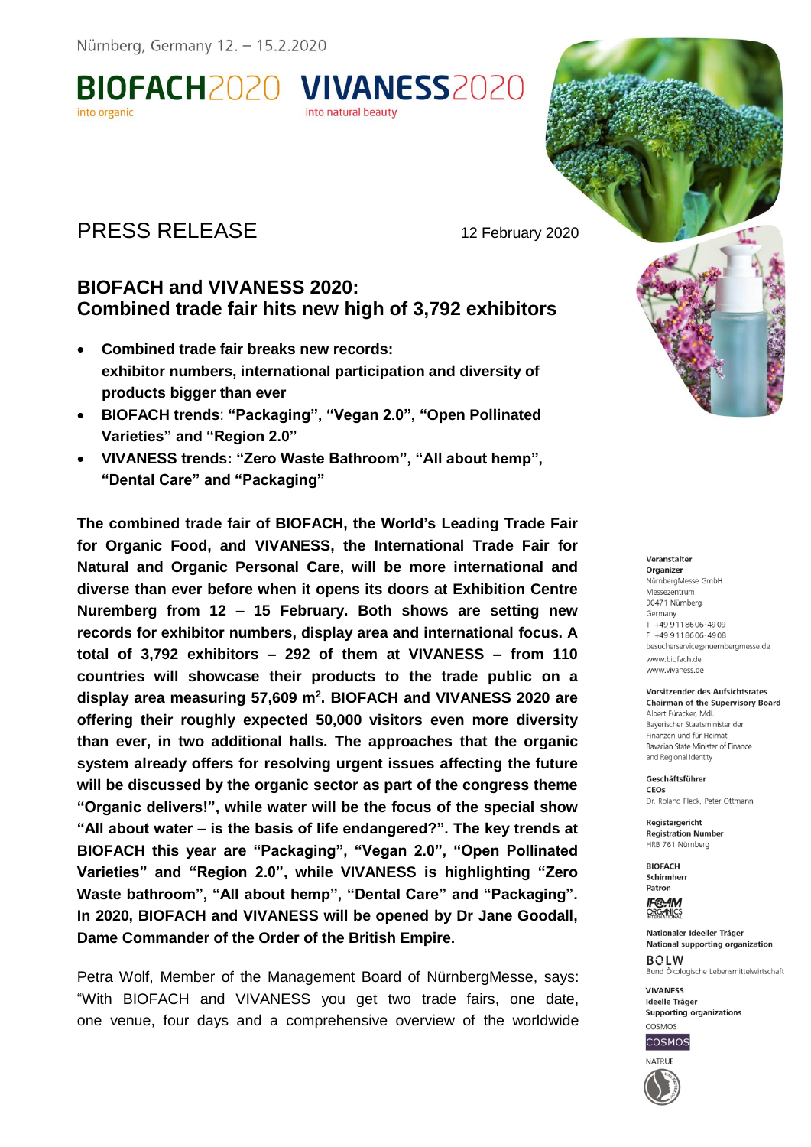BIOFACH2020 VIVANESS2020 into organic into natural beauty

# PRESS RELEASE 12 February 2020

## **BIOFACH and VIVANESS 2020: Combined trade fair hits new high of 3,792 exhibitors**

- **Combined trade fair breaks new records: exhibitor numbers, international participation and diversity of products bigger than ever**
- **BIOFACH trends**: **"Packaging", "Vegan 2.0", "Open Pollinated Varieties" and "Region 2.0"**
- **VIVANESS trends: "Zero Waste Bathroom", "All about hemp", "Dental Care" and "Packaging"**

**The combined trade fair of BIOFACH, the World's Leading Trade Fair for Organic Food, and VIVANESS, the International Trade Fair for Natural and Organic Personal Care, will be more international and diverse than ever before when it opens its doors at Exhibition Centre Nuremberg from 12 – 15 February. Both shows are setting new records for exhibitor numbers, display area and international focus. A total of 3,792 exhibitors – 292 of them at VIVANESS – from 110 countries will showcase their products to the trade public on a display area measuring 57,609 m<sup>2</sup> . BIOFACH and VIVANESS 2020 are offering their roughly expected 50,000 visitors even more diversity than ever, in two additional halls. The approaches that the organic system already offers for resolving urgent issues affecting the future will be discussed by the organic sector as part of the congress theme "Organic delivers!", while water will be the focus of the special show "All about water – is the basis of life endangered?". The key trends at BIOFACH this year are "Packaging", "Vegan 2.0", "Open Pollinated Varieties" and "Region 2.0", while VIVANESS is highlighting "Zero Waste bathroom", "All about hemp", "Dental Care" and "Packaging". In 2020, BIOFACH and VIVANESS will be opened by Dr Jane Goodall, Dame Commander of the Order of the British Empire.** 

Petra Wolf, Member of the Management Board of NürnbergMesse, says: "With BIOFACH and VIVANESS you get two trade fairs, one date, one venue, four days and a comprehensive overview of the worldwide

#### Veranstalter

Organizer NürnberaMesse GmbH Messezentrum 90471 Nürnberg Germany T +49 9 11 86 06 - 49 09 F +49 9 11 86 06 - 49 08 besucherservice@nuernbergmesse.de www.biofach.de www.vivaness.de

#### Vorsitzender des Aufsichtsrates **Chairman of the Supervisory Board**

Albert Füracker, MdL Baverischer Staatsminister der Finanzen und für Heimat Bavarian State Minister of Finance and Regional Identity

Geschäftsführer CEOS Dr. Roland Fleck, Peter Ottmann

Reaisteraericht **Registration Number** HRB 761 Nürnberg

**BIOFACH** Schirmherr Patron

**IF®AM** ORGANICS

Nationaler Ideeller Träger **National supporting organization BOLW** Bund Ökologische Lebensmittelwirtschaft

**VIVANESS Ideelle Träger** Supporting organizations COSMOS



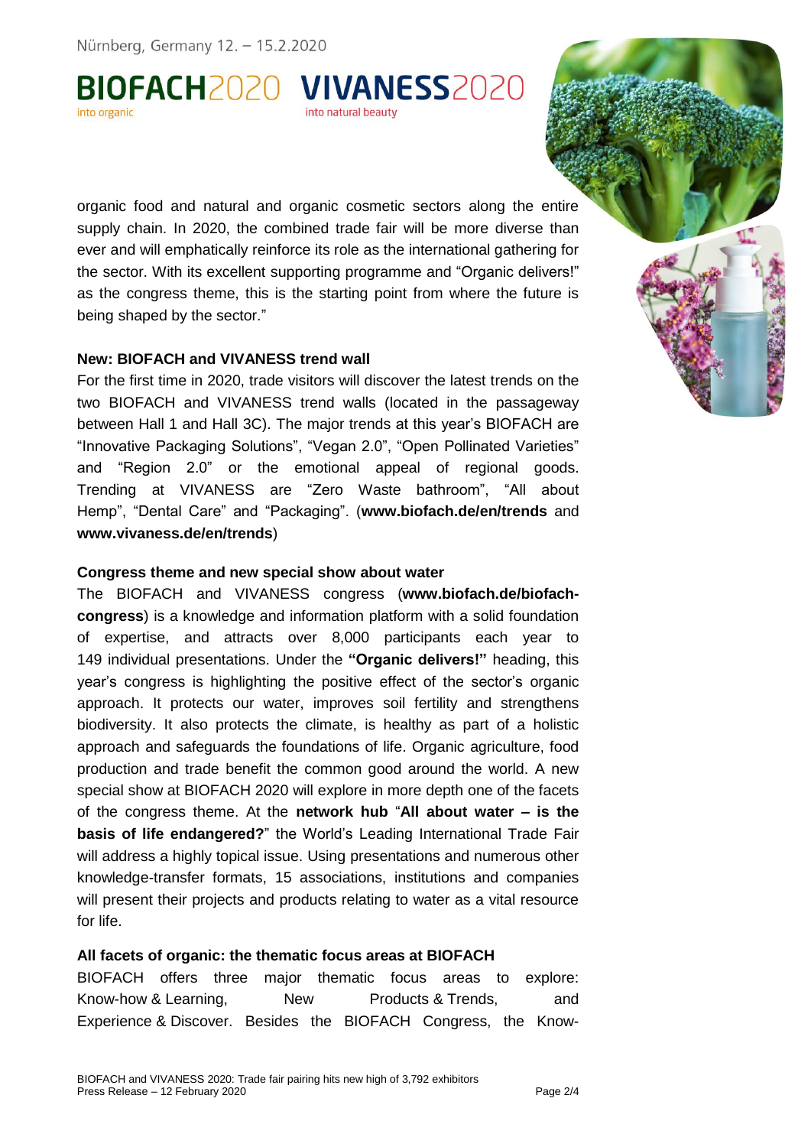Nürnberg, Germany 12. - 15.2.2020

BIOFACH2020 VIVANESS2020 into organic into natural beauty

organic food and natural and organic cosmetic sectors along the entire supply chain. In 2020, the combined trade fair will be more diverse than ever and will emphatically reinforce its role as the international gathering for the sector. With its excellent supporting programme and "Organic delivers!" as the congress theme, this is the starting point from where the future is being shaped by the sector."

#### **New: BIOFACH and VIVANESS trend wall**

For the first time in 2020, trade visitors will discover the latest trends on the two BIOFACH and VIVANESS trend walls (located in the passageway between Hall 1 and Hall 3C). The major trends at this year's BIOFACH are "Innovative Packaging Solutions", "Vegan 2.0", "Open Pollinated Varieties" and "Region 2.0" or the emotional appeal of regional goods. Trending at VIVANESS are "Zero Waste bathroom", "All about Hemp", "Dental Care" and "Packaging". (**www.biofach.de/en/trends** and **www.vivaness.de/en/trends**)

#### **Congress theme and new special show about water**

The BIOFACH and VIVANESS congress (**www.biofach.de/biofachcongress**) is a knowledge and information platform with a solid foundation of expertise, and attracts over 8,000 participants each year to 149 individual presentations. Under the **"Organic delivers!"** heading, this year's congress is highlighting the positive effect of the sector's organic approach. It protects our water, improves soil fertility and strengthens biodiversity. It also protects the climate, is healthy as part of a holistic approach and safeguards the foundations of life. Organic agriculture, food production and trade benefit the common good around the world. A new special show at BIOFACH 2020 will explore in more depth one of the facets of the congress theme. At the **network hub** "**All about water – is the basis of life endangered?**" the World's Leading International Trade Fair will address a highly topical issue. Using presentations and numerous other knowledge-transfer formats, 15 associations, institutions and companies will present their projects and products relating to water as a vital resource for life.

#### **All facets of organic: the thematic focus areas at BIOFACH**

BIOFACH offers three major thematic focus areas to explore: Know-how & Learning, Mew Products & Trends, and Experience & Discover. Besides the BIOFACH Congress, the Know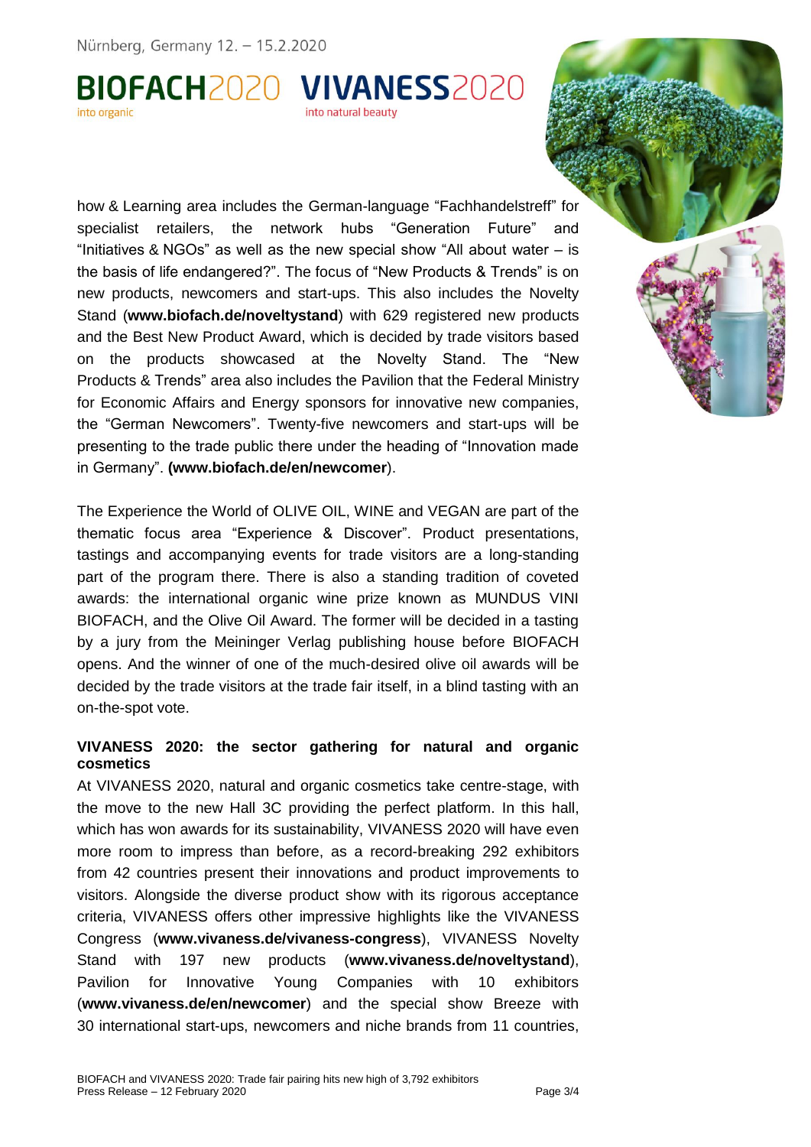Nürnberg, Germany 12. - 15.2.2020

#### BIOFACH2020 VIVANESS2020 into organic into natural beauty

how & Learning area includes the German-language "Fachhandelstreff" for specialist retailers, the network hubs "Generation Future" and "Initiatives & NGOs" as well as the new special show "All about water – is the basis of life endangered?". The focus of "New Products & Trends" is on new products, newcomers and start-ups. This also includes the Novelty Stand (**www.biofach.de/noveltystand**) with 629 registered new products and the Best New Product Award, which is decided by trade visitors based on the products showcased at the Novelty Stand. The "New Products & Trends" area also includes the Pavilion that the Federal Ministry for Economic Affairs and Energy sponsors for innovative new companies, the "German Newcomers". Twenty-five newcomers and start-ups will be presenting to the trade public there under the heading of "Innovation made in Germany". **(www.biofach.de/en/newcomer**).

The Experience the World of OLIVE OIL, WINE and VEGAN are part of the thematic focus area "Experience & Discover". Product presentations, tastings and accompanying events for trade visitors are a long-standing part of the program there. There is also a standing tradition of coveted awards: the international organic wine prize known as MUNDUS VINI BIOFACH, and the Olive Oil Award. The former will be decided in a tasting by a jury from the Meininger Verlag publishing house before BIOFACH opens. And the winner of one of the much-desired olive oil awards will be decided by the trade visitors at the trade fair itself, in a blind tasting with an on-the-spot vote.

### **VIVANESS 2020: the sector gathering for natural and organic cosmetics**

At VIVANESS 2020, natural and organic cosmetics take centre-stage, with the move to the new Hall 3C providing the perfect platform. In this hall, which has won awards for its sustainability, VIVANESS 2020 will have even more room to impress than before, as a record-breaking 292 exhibitors from 42 countries present their innovations and product improvements to visitors. Alongside the diverse product show with its rigorous acceptance criteria, VIVANESS offers other impressive highlights like the VIVANESS Congress (**www.vivaness.de/vivaness-congress**), VIVANESS Novelty Stand with 197 new products (**www.vivaness.de/noveltystand**), Pavilion for Innovative Young Companies with 10 exhibitors (**www.vivaness.de/en/newcomer**) and the special show Breeze with 30 international start-ups, newcomers and niche brands from 11 countries,